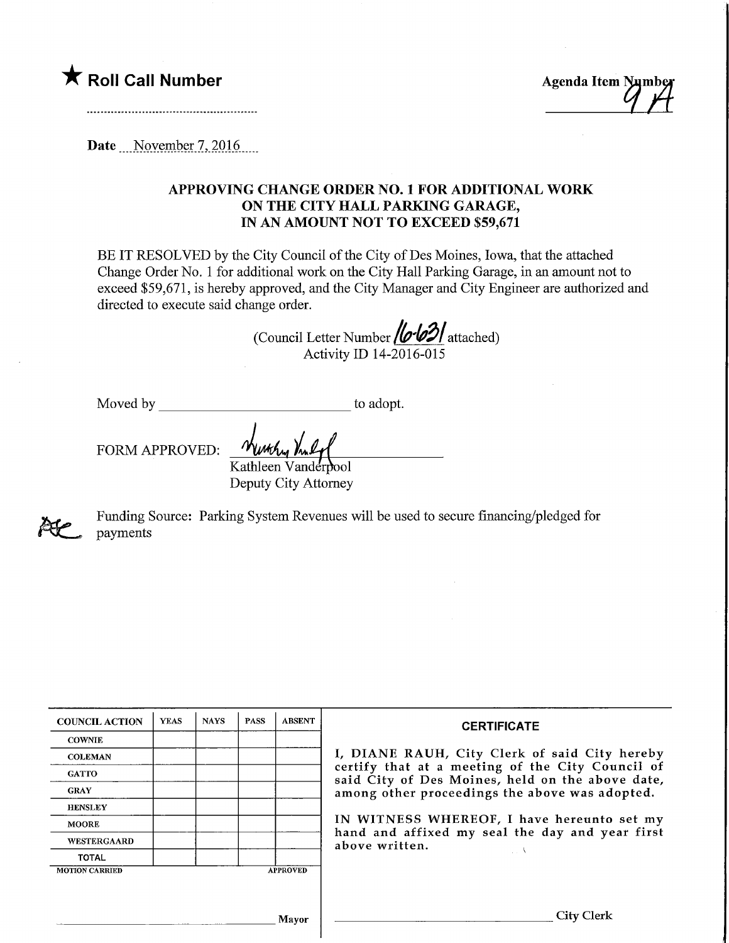Roll Call Number<br>
Agenda Item Number<br>
Agenda Item Number

Date November 7, 2016

## APPROVING CHANGE ORDER NO. 1 FOR ADDITIONAL WORK ON THE CITY HALL PARKING GARAGE, IN AN AMOUNT NOT TO EXCEED \$59,671

BE IT RESOLVED by the City Council of the City of Des Moines, Iowa, that the attached Change Order No. 1 for additional work on the City Hall Parking Garage, in an amount not to exceed \$59,671, is hereby approved, and the City Manager and City Engineer are authorized and directed to execute said change order.

(Council Letter Number **/o/o3/** attached) Activity ID 14-2016-015

Moved by

to adopt.

FORM APPROVED:

Kathleen Vanderpool Deputy City Attorney



Funding Source: Parking System Revenues will be used to secure financing/pledged for payments

| <b>COUNCIL ACTION</b> | <b>YEAS</b> | <b>NAYS</b> | <b>PASS</b> | <b>ABSENT</b>   | <b>CERTIFICATE</b>                                                                                   |
|-----------------------|-------------|-------------|-------------|-----------------|------------------------------------------------------------------------------------------------------|
| <b>COWNIE</b>         |             |             |             |                 |                                                                                                      |
| <b>COLEMAN</b>        |             |             |             |                 | I, DIANE RAUH, City Clerk of said City hereby                                                        |
| <b>GATTO</b>          |             |             |             |                 | certify that at a meeting of the City Council of<br>said City of Des Moines, held on the above date, |
| <b>GRAY</b>           |             |             |             |                 | among other proceedings the above was adopted.                                                       |
| <b>HENSLEY</b>        |             |             |             |                 |                                                                                                      |
| <b>MOORE</b>          |             |             |             |                 | IN WITNESS WHEREOF, I have hereunto set my<br>hand and affixed my seal the day and year first        |
| WESTERGAARD           |             |             |             |                 | above written.                                                                                       |
| <b>TOTAL</b>          |             |             |             |                 |                                                                                                      |
| <b>MOTION CARRIED</b> |             |             |             | <b>APPROVED</b> |                                                                                                      |
|                       |             |             |             |                 |                                                                                                      |
|                       |             |             |             |                 |                                                                                                      |
|                       |             |             |             | Mayor           | City Clerk                                                                                           |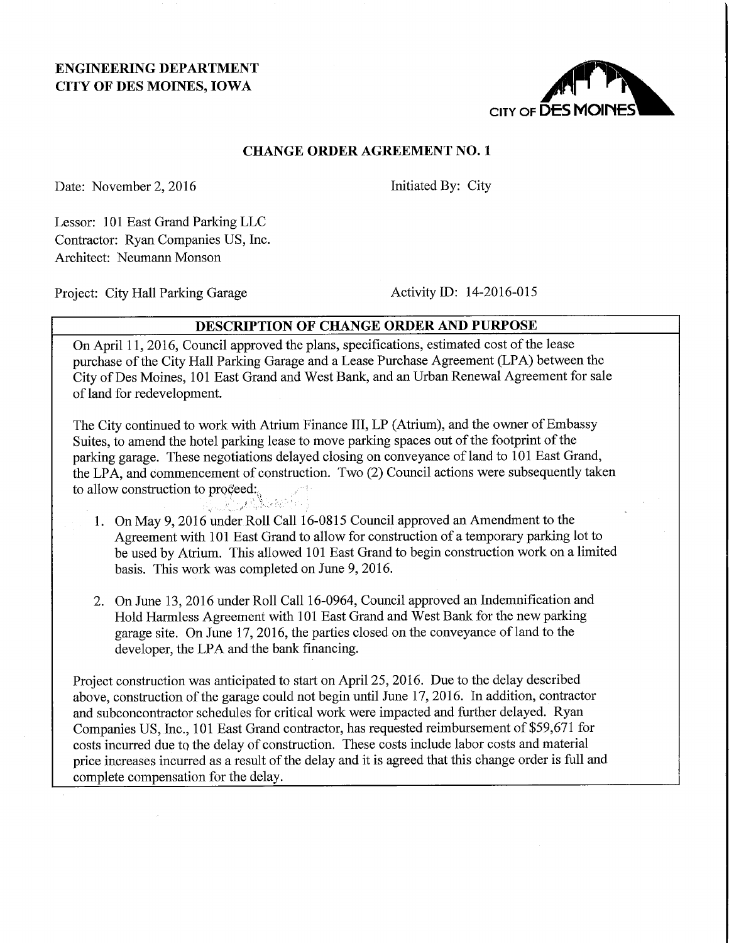# ENGINEERING DEPARTMENT CITY OF DES MOINES, IOWA



## CHANGE ORDER AGREEMENT NO. 1

Date: November 2, 2016 Initiated By: City

Lessor: 101 East Grand Parking LLC Contractor: Ryan Companies US, Inc. Architect: Neumann Monson

Project: City Hall Parking Garage Activity ID: 14-2016-015

## DESCRIPTION OF CHANGE ORDER AND PURPOSE

On April 11, 2016, Council approved the plans, specifications, estimated cost of the lease purchase of the City Hall Parking Garage and a Lease Purchase Agreement (LPA) between the City of Des Moines, 101 East Grand and West Bank, and an Urban Renewal Agreement for sale of land for redevelopment.

The City continued to work with Atrium Finance III, LP (Atrium), and the owner of Embassy Suites, to amend the hotel parking lease to move parking spaces out of the footprint of the parking garage. These negotiations delayed closing on conveyance of land to 101 East Grand, the LPA, and commencement of construction. Two (2) Council actions were subsequently taken to allow construction to proceed:

- 1. On May 9,2016 under Roll Call 16-0815 Council approved an Amendment to the Agreement with 101 East Grand to allow for construction of a temporary parking lot to be used by Atrium. This allowed 101 East Grand to begin construction work on a limited basis. This work was completed on June 9, 2016.
- 2. On June 13, 2016 under Roll Call 16-0964, Council approved an Indemnification and Hold Harmless Agreement with 101 East Grand and West Bank for the new parking garage site. On June 17, 2016, the parties closed on the conveyance of land to the developer, the LPA and the bank financing.

Project construction was anticipated to start on April 25, 2016. Due to the delay described above, construction of the garage could not begin until June 17, 2016. In addition, contractor and subconcontractor schedules for critical work were impacted and further delayed. Ryan Companies US, Inc., 101 East Grand contractor, has requested reimbursement of \$59,671 for costs incurred due to the delay of construction. These costs include labor costs and material price increases incurred as a result of the delay and it is agreed that this change order is full and complete compensation for the delay.